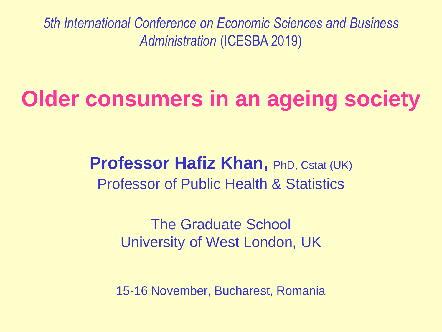*5th International Conference on Economic Sciences and Business Administration* (ICESBA 2019)

# **Older consumers in an ageing society**

**Professor Hafiz Khan, PhD, Cstat (UK)** Professor of Public Health & Statistics

> The Graduate School University of West London, UK

15-16 November, Bucharest, Romania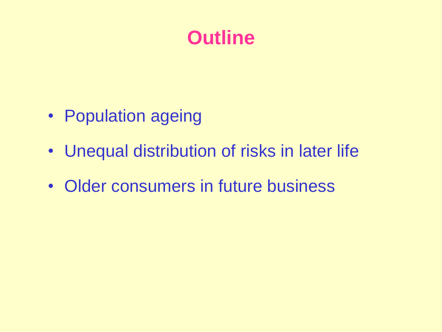#### **Outline**

- Population ageing
- Unequal distribution of risks in later life
- Older consumers in future business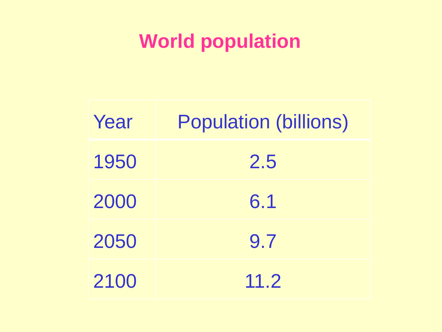# **World population**

| Year | <b>Population (billions)</b> |  |  |  |
|------|------------------------------|--|--|--|
| 1950 | 2.5                          |  |  |  |
| 2000 | 6.1                          |  |  |  |
| 2050 | 9.7                          |  |  |  |
| 2100 | 11.2                         |  |  |  |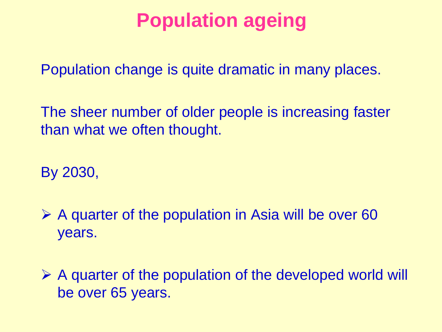#### **Population ageing**

Population change is quite dramatic in many places.

The sheer number of older people is increasing faster than what we often thought.

By 2030,

 $\triangleright$  A quarter of the population in Asia will be over 60 years.

 $\triangleright$  A quarter of the population of the developed world will be over 65 years.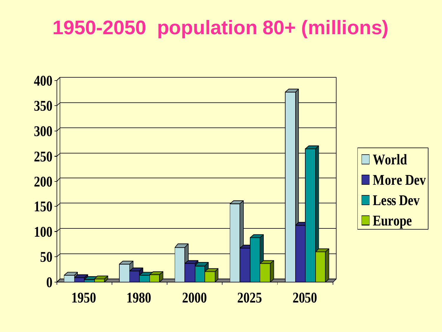# **1950-2050 population 80+ (millions)**

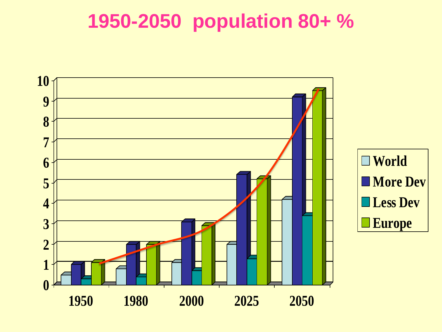# **1950-2050 population 80+ %**

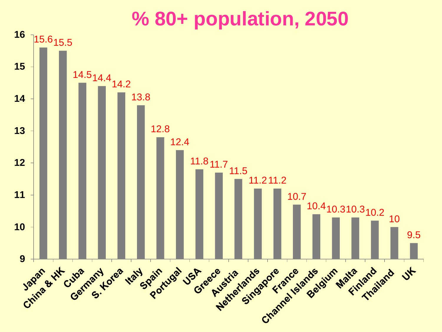#### **% 80+ population, 2050**

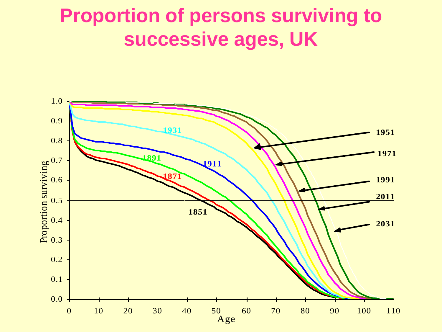#### **Proportion of persons surviving to successive ages, UK**

![](_page_7_Figure_1.jpeg)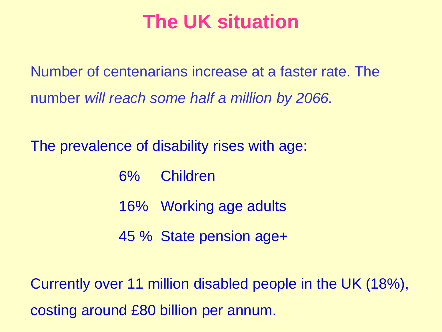#### **The UK situation**

Number of centenarians increase at a faster rate. The number *will reach some half a million by 2066.*

The prevalence of disability rises with age:

- 6% Children
- 16% Working age adults
- 45 % State pension age+

Currently over 11 million disabled people in the UK (18%), costing around £80 billion per annum.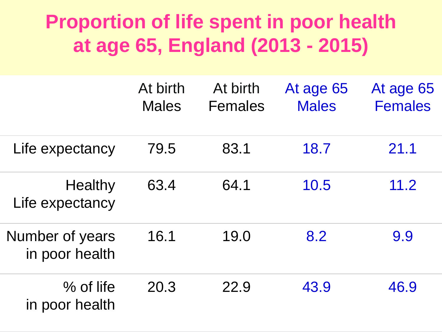# **Proportion of life spent in poor health at age 65, England (2013 - 2015)**

|                                   | At birth<br><b>Males</b> | At birth<br><b>Females</b> | At age 65<br><b>Males</b> | At age 65<br><b>Females</b> |
|-----------------------------------|--------------------------|----------------------------|---------------------------|-----------------------------|
| Life expectancy                   | 79.5                     | 83.1                       | 18.7                      | 21.1                        |
| Healthy<br>Life expectancy        | 63.4                     | 64.1                       | 10.5                      | 11.2                        |
| Number of years<br>in poor health | 16.1                     | 19.0                       | 8.2                       | 9.9                         |
| $%$ of life<br>in poor health     | 20.3                     | 22.9                       | 43.9                      | 46.9                        |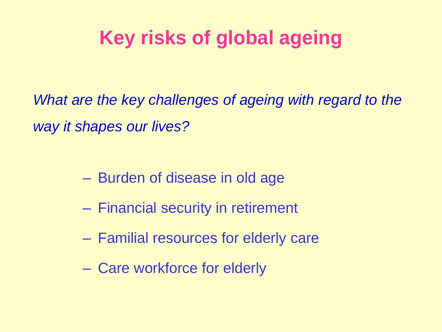# **Key risks of global ageing**

What are the key challenges of ageing with regard to the *way it shapes our lives?* 

- Burden of disease in old age
- Financial security in retirement
- Familial resources for elderly care
- Care workforce for elderly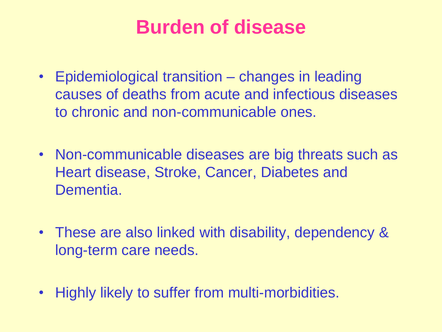#### **Burden of disease**

- Epidemiological transition changes in leading causes of deaths from acute and infectious diseases to chronic and non-communicable ones.
- Non-communicable diseases are big threats such as Heart disease, Stroke, Cancer, Diabetes and Dementia.
- These are also linked with disability, dependency & long-term care needs.
- Highly likely to suffer from multi-morbidities.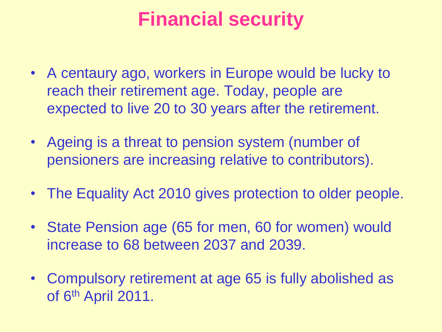## **Financial security**

- A centaury ago, workers in Europe would be lucky to reach their retirement age. Today, people are expected to live 20 to 30 years after the retirement.
- Ageing is a threat to pension system (number of pensioners are increasing relative to contributors).
- The Equality Act 2010 gives protection to older people.
- State Pension age (65 for men, 60 for women) would increase to 68 between 2037 and 2039.
- Compulsory retirement at age 65 is fully abolished as of 6<sup>th</sup> April 2011.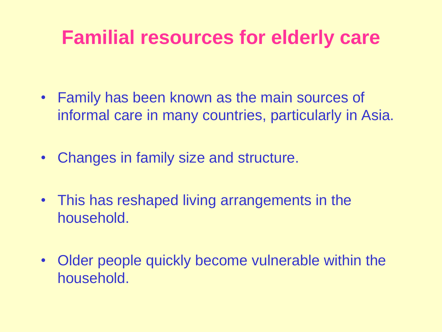#### **Familial resources for elderly care**

- Family has been known as the main sources of informal care in many countries, particularly in Asia.
- Changes in family size and structure.
- This has reshaped living arrangements in the household.
- Older people quickly become vulnerable within the household.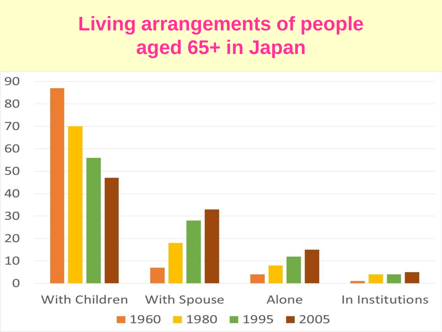# **Living arrangements of people aged 65+ in Japan**

![](_page_14_Figure_1.jpeg)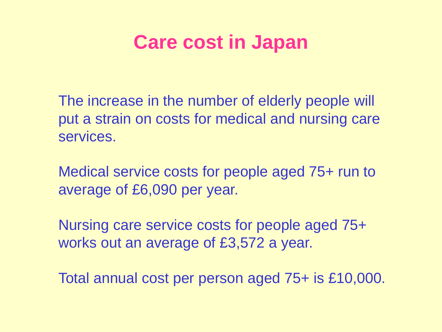#### **Care cost in Japan**

The increase in the number of elderly people will put a strain on costs for medical and nursing care services.

Medical service costs for people aged 75+ run to average of £6,090 per year.

Nursing care service costs for people aged 75+ works out an average of £3,572 a year.

Total annual cost per person aged 75+ is £10,000.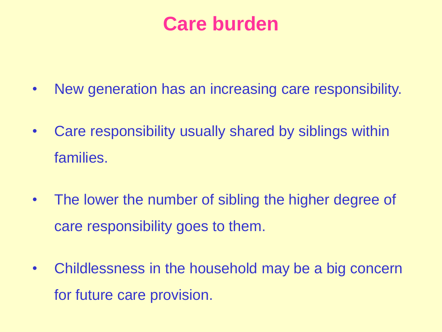#### **Care burden**

- New generation has an increasing care responsibility.
- Care responsibility usually shared by siblings within families.
- The lower the number of sibling the higher degree of care responsibility goes to them.
- Childlessness in the household may be a big concern for future care provision.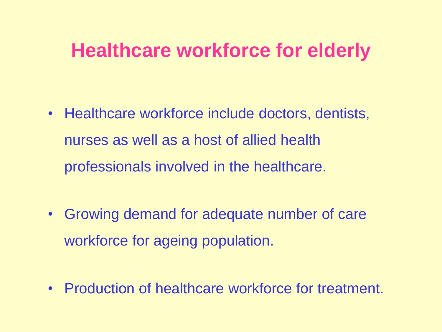#### **Healthcare workforce for elderly**

- Healthcare workforce include doctors, dentists, nurses as well as a host of allied health professionals involved in the healthcare.
- Growing demand for adequate number of care workforce for ageing population.
- Production of healthcare workforce for treatment.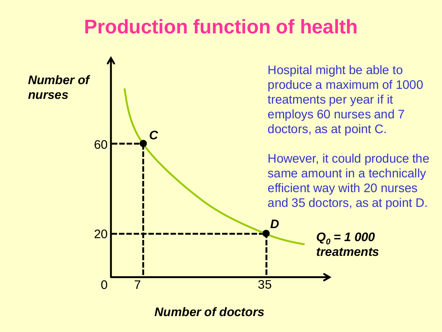#### **Production function of health**

![](_page_18_Figure_1.jpeg)

*Number of doctors*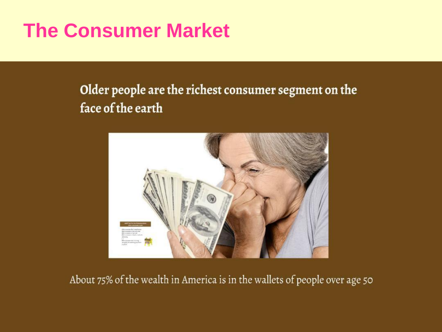# **The Consumer Market**

#### Older people are the richest consumer segment on the face of the earth

![](_page_19_Picture_2.jpeg)

About 75% of the wealth in America is in the wallets of people over age 50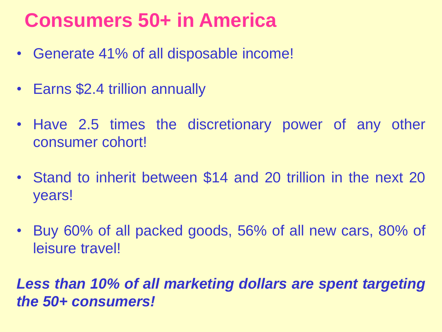# **Consumers 50+ in America**

- Generate 41% of all disposable income!
- Earns \$2.4 trillion annually
- Have 2.5 times the discretionary power of any other consumer cohort!
- Stand to inherit between \$14 and 20 trillion in the next 20 years!
- Buy 60% of all packed goods, 56% of all new cars, 80% of leisure travel!

*Less than 10% of all marketing dollars are spent targeting the 50+ consumers!*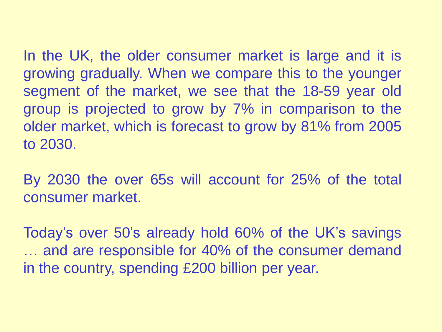In the UK, the older consumer market is large and it is growing gradually. When we compare this to the younger segment of the market, we see that the 18-59 year old group is projected to grow by 7% in comparison to the older market, which is forecast to grow by 81% from 2005 to 2030.

By 2030 the over 65s will account for 25% of the total consumer market.

Today's over 50's already hold 60% of the UK's savings … and are responsible for 40% of the consumer demand in the country, spending £200 billion per year.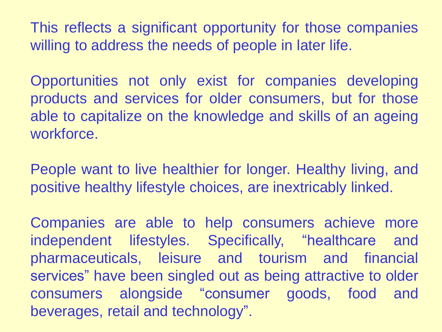This reflects a significant opportunity for those companies willing to address the needs of people in later life.

Opportunities not only exist for companies developing products and services for older consumers, but for those able to capitalize on the knowledge and skills of an ageing workforce.

People want to live healthier for longer. Healthy living, and positive healthy lifestyle choices, are inextricably linked.

Companies are able to help consumers achieve more independent lifestyles. Specifically, "healthcare and pharmaceuticals, leisure and tourism and financial services" have been singled out as being attractive to older consumers alongside "consumer goods, food and beverages, retail and technology".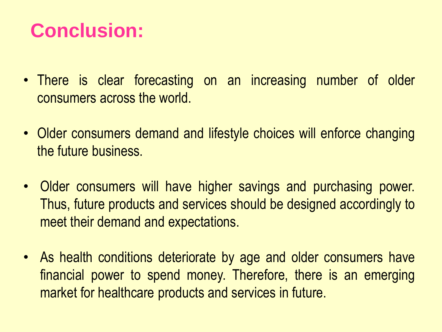# **Conclusion:**

- There is clear forecasting on an increasing number of older consumers across the world.
- Older consumers demand and lifestyle choices will enforce changing the future business.
- Older consumers will have higher savings and purchasing power. Thus, future products and services should be designed accordingly to meet their demand and expectations.
- As health conditions deteriorate by age and older consumers have financial power to spend money. Therefore, there is an emerging market for healthcare products and services in future.